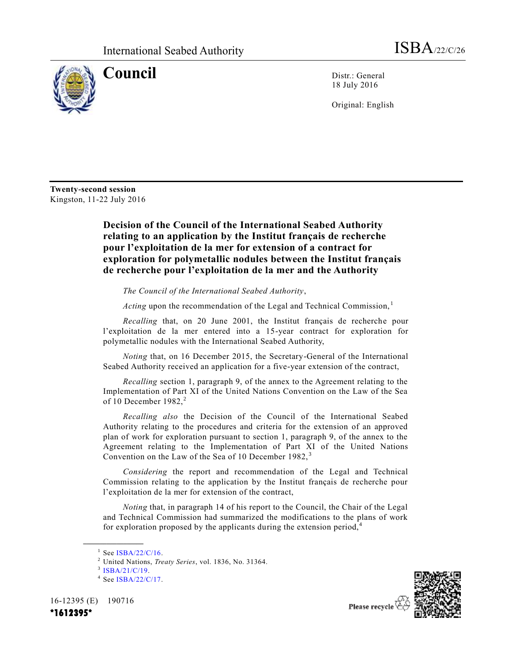

**Council** Distr.: General 18 July 2016

Original: English

**Twenty-second session**  Kingston, 11-22 July 2016

## **Decision of the Council of the International Seabed Authority relating to an application by the Institut français de recherche pour l'exploitation de la mer for extension of a contract for exploration for polymetallic nodules between the Institut français de recherche pour l'exploitation de la mer and the Authority**

*The Council of the International Seabed Authority*,

*Acting* upon the recommendation of the Legal and Technical Commission,  $\frac{1}{1}$ 

*Recalling* that, on 20 June 2001, the Institut français de recherche pour l'exploitation de la mer entered into a 15-year contract for exploration for polymetallic nodules with the International Seabed Authority,

*Noting* that, on 16 December 2015, the Secretary-General of the International Seabed Authority received an application for a five-year extension of the contract,

*Recalling* section 1, paragraph 9, of the annex to the Agreement relating to the Implementation of Part XI of the United Nations Convention on the Law of the Sea of 10 December  $1982$ <sup>2</sup>

*Recalling also* the Decision of the Council of the International Seabed Authority relating to the procedures and criteria for the extension of an approved plan of work for exploration pursuant to section 1, paragraph 9, of the annex to the Agreement relating to the Implementation of Part XI of the United Nations Convention on the Law of the Sea of 10 December  $1982$ ,<sup>3</sup>

*Considering* the report and recommendation of the Legal and Technical Commission relating to the application by the Institut français de recherche pour l'exploitation de la mer for extension of the contract,

*Noting* that, in paragraph 14 of his report to the Council, the Chair of the Legal and Technical Commission had summarized the modifications to the plans of work for exploration proposed by the applicants during the extension period, $4\overline{4}$ 

<sup>3</sup> [ISBA/21/C/19.](http://undocs.org/ISBA/21/C/19)

**\_\_\_\_\_\_\_\_\_\_\_\_\_\_\_\_\_\_**

16-12395 (E) 190716





<sup>1</sup> See [ISBA/22/C/16.](http://undocs.org/ISBA/22/C/16)

<sup>2</sup> United Nations, *Treaty Series*, vol. 1836, No. 31364.

<sup>&</sup>lt;sup>4</sup> See [ISBA/22/C/17.](http://undocs.org/ISBA/22/C/17)